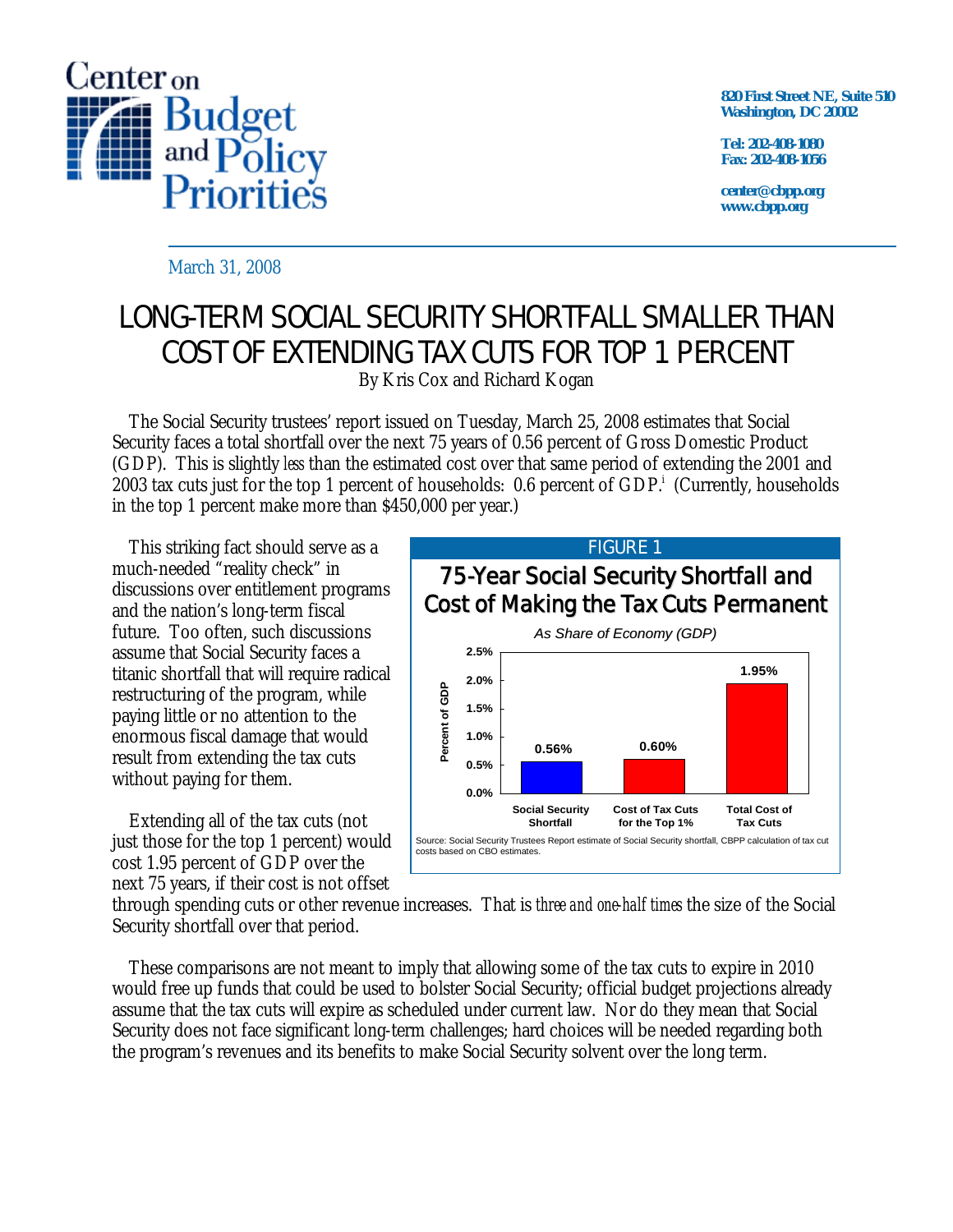

**820 First Street NE, Suite 510 Washington, DC 20002** 

**Tel: 202-408-1080 Fax: 202-408-1056** 

**center@cbpp.org www.cbpp.org** 

March 31, 2008

## LONG-TERM SOCIAL SECURITY SHORTFALL SMALLER THAN COST OF EXTENDING TAX CUTS FOR TOP 1 PERCENT

By Kris Cox and Richard Kogan

 The Social Security trustees' report issued on Tuesday, March 25, 2008 estimates that Social Security faces a total shortfall over the next 75 years of 0.56 percent of Gross Domestic Product (GDP). This is slightly *less* than the estimated cost over that same period of extending the 2001 and 2003 tax cuts just for the top 1 percent of households: 0.6 percent of GDP.<sup>i</sup> (Currently, households in the top 1 percent make more than \$450,000 per year.)

 This striking fact should serve as a much-needed "reality check" in discussions over entitlement programs and the nation's long-term fiscal future. Too often, such discussions assume that Social Security faces a titanic shortfall that will require radical restructuring of the program, while paying little or no attention to the enormous fiscal damage that would result from extending the tax cuts without paying for them.

 Extending all of the tax cuts (not just those for the top 1 percent) would cost 1.95 percent of GDP over the next 75 years, if their cost is not offset



through spending cuts or other revenue increases. That is *three and one-half times* the size of the Social Security shortfall over that period.

 These comparisons are not meant to imply that allowing some of the tax cuts to expire in 2010 would free up funds that could be used to bolster Social Security; official budget projections already assume that the tax cuts will expire as scheduled under current law. Nor do they mean that Social Security does not face significant long-term challenges; hard choices will be needed regarding both the program's revenues and its benefits to make Social Security solvent over the long term.